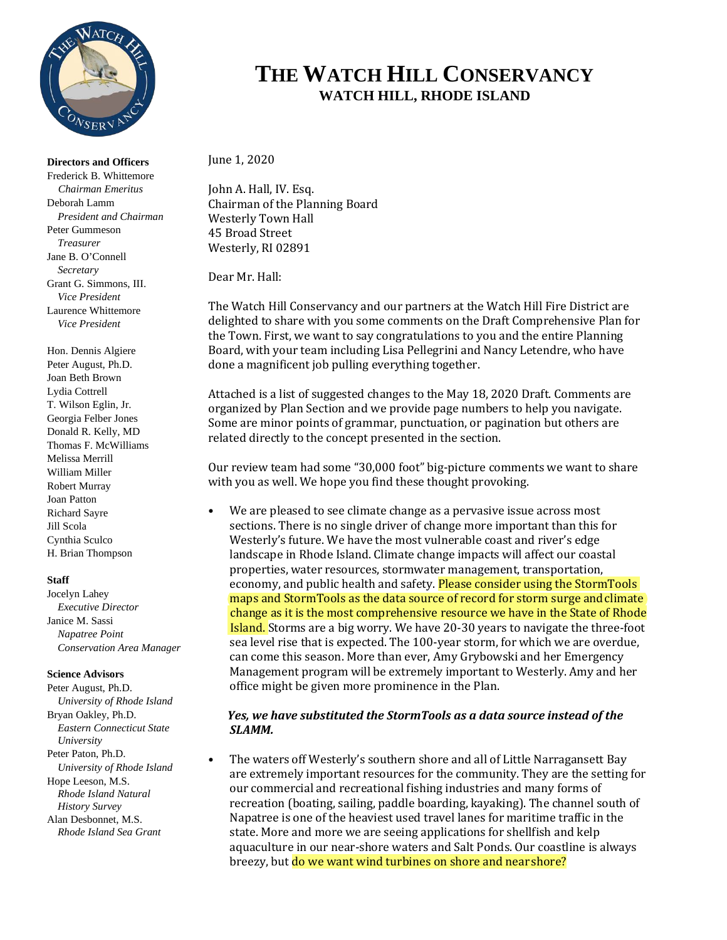

**Directors and Officers**  Frederick B. Whittemore *Chairman Emeritus* Deborah Lamm *President and Chairman* Peter Gummeson *Treasurer* Jane B. O'Connell *Secretary* Grant G. Simmons, III. *Vice President* Laurence Whittemore *Vice President*

Hon. Dennis Algiere Peter August, Ph.D. Joan Beth Brown Lydia Cottrell T. Wilson Eglin, Jr. Georgia Felber Jones Donald R. Kelly, MD Thomas F. McWilliams Melissa Merrill William Miller Robert Murray Joan Patton Richard Sayre Jill Scola Cynthia Sculco H. Brian Thompson

#### **Staff**

Jocelyn Lahey *Executive Director* Janice M. Sassi *Napatree Point Conservation Area Manager*

#### **Science Advisors**

Peter August, Ph.D. *University of Rhode Island* Bryan Oakley, Ph.D. *Eastern Connecticut State University* Peter Paton, Ph.D. *University of Rhode Island* Hope Leeson, M.S. *Rhode Island Natural History Survey* Alan Desbonnet, M.S. *Rhode Island Sea Grant*

## **THE WATCH HILL CONSERVANCY WATCH HILL, RHODE ISLAND**

June 1, 2020

John A. Hall, IV. Esq. Chairman of the Planning Board Westerly Town Hall 45 Broad Street Westerly, RI 02891

Dear Mr. Hall:

The Watch Hill Conservancy and our partners at the Watch Hill Fire District are delighted to share with you some comments on the Draft Comprehensive Plan for the Town. First, we want to say congratulations to you and the entire Planning Board, with your team including Lisa Pellegrini and Nancy Letendre, who have done a magnificent job pulling everything together.

Attached is a list of suggested changes to the May 18, 2020 Draft. Comments are organized by Plan Section and we provide page numbers to help you navigate. Some are minor points of grammar, punctuation, or pagination but others are related directly to the concept presented in the section.

Our review team had some "30,000 foot" big-picture comments we want to share with you as well. We hope you find these thought provoking.

• We are pleased to see climate change as a pervasive issue across most sections. There is no single driver of change more important than this for Westerly's future. We have the most vulnerable coast and river's edge landscape in Rhode Island. Climate change impacts will affect our coastal properties, water resources, stormwater management, transportation, economy, and public health and safety. Please consider using the StormTools maps and StormTools as the data source of record for storm surge and climate change as it is the most comprehensive resource we have in the State of Rhode Island. Storms are a big worry. We have 20-30 years to navigate the three-foot sea level rise that is expected. The 100-year storm, for which we are overdue, can come this season. More than ever, Amy Grybowski and her Emergency Management program will be extremely important to Westerly. Amy and her office might be given more prominence in the Plan.

#### *Yes, we have substituted the StormTools as a data source instead of the SLAMM.*

• The waters off Westerly's southern shore and all of Little Narragansett Bay are extremely important resources for the community. They are the setting for our commercial and recreational fishing industries and many forms of recreation (boating, sailing, paddle boarding, kayaking). The channel south of Napatree is one of the heaviest used travel lanes for maritime traffic in the state. More and more we are seeing applications for shellfish and kelp aquaculture in our near-shore waters and Salt Ponds. Our coastline is always breezy, but do we want wind turbines on shore and near shore?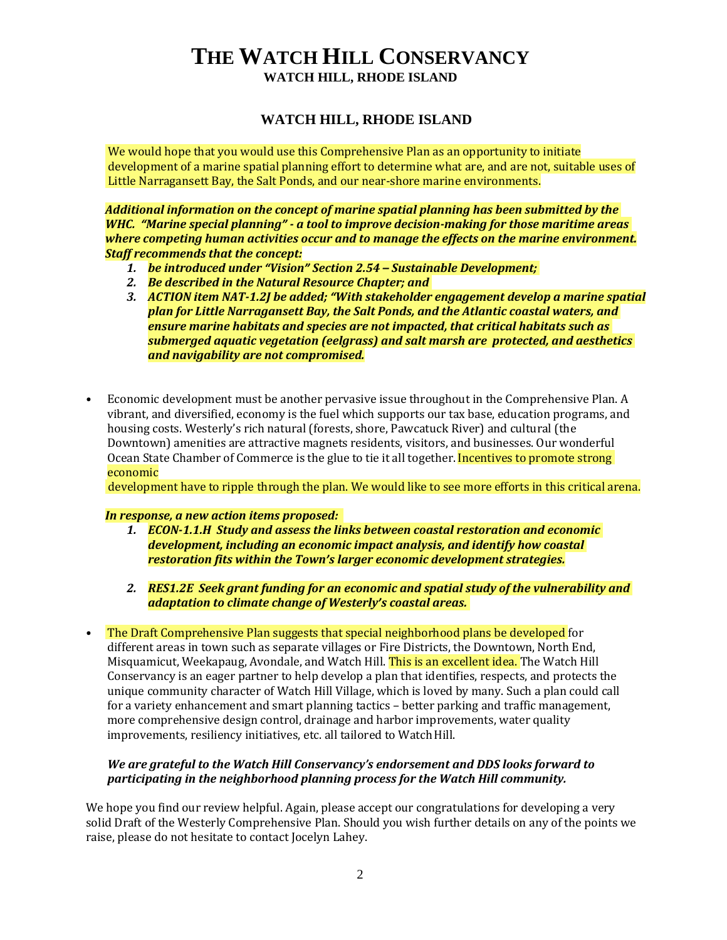#### **WATCH HILL, RHODE ISLAND**

We would hope that you would use this Comprehensive Plan as an opportunity to initiate development of a marine spatial planning effort to determine what are, and are not, suitable uses of Little Narragansett Bay, the Salt Ponds, and our near-shore marine environments.

*Additional information on the concept of marine spatial planning has been submitted by the WHC. "Marine special planning" - a tool to improve decision-making for those maritime areas where competing human activities occur and to manage the effects on the marine environment. Staff recommends that the concept:*

- *1. be introduced under "Vision" Section 2.54 – Sustainable Development;*
- *2. Be described in the Natural Resource Chapter; and*
- *3. ACTION item NAT-1.2J be added; "With stakeholder engagement develop a marine spatial plan for Little Narragansett Bay, the Salt Ponds, and the Atlantic coastal waters, and ensure marine habitats and species are not impacted, that critical habitats such as submerged aquatic vegetation (eelgrass) and salt marsh are protected, and aesthetics and navigability are not compromised.*
- Economic development must be another pervasive issue throughout in the Comprehensive Plan. A vibrant, and diversified, economy is the fuel which supports our tax base, education programs, and housing costs. Westerly's rich natural (forests, shore, Pawcatuck River) and cultural (the Downtown) amenities are attractive magnets residents, visitors, and businesses. Our wonderful Ocean State Chamber of Commerce is the glue to tie it all together. Incentives to promote strong economic

development have to ripple through the plan. We would like to see more efforts in this critical arena.

#### *In response, a new action items proposed:*

- *1. ECON-1.1.H Study and assess the links between coastal restoration and economic development, including an economic impact analysis, and identify how coastal restoration fits within the Town's larger economic development strategies.*
- *2. RES1.2E Seek grant funding for an economic and spatial study of the vulnerability and adaptation to climate change of Westerly's coastal areas.*
- The Draft Comprehensive Plan suggests that special neighborhood plans be developed for different areas in town such as separate villages or Fire Districts, the Downtown, North End, Misquamicut, Weekapaug, Avondale, and Watch Hill. This is an excellent idea. The Watch Hill Conservancy is an eager partner to help develop a plan that identifies, respects, and protects the unique community character of Watch Hill Village, which is loved by many. Such a plan could call for a variety enhancement and smart planning tactics – better parking and traffic management, more comprehensive design control, drainage and harbor improvements, water quality improvements, resiliency initiatives, etc. all tailored to Watch Hill.

#### *We are grateful to the Watch Hill Conservancy's endorsement and DDS looks forward to participating in the neighborhood planning process for the Watch Hill community.*

We hope you find our review helpful. Again, please accept our congratulations for developing a very solid Draft of the Westerly Comprehensive Plan. Should you wish further details on any of the points we raise, please do not hesitate to contact Jocelyn Lahey.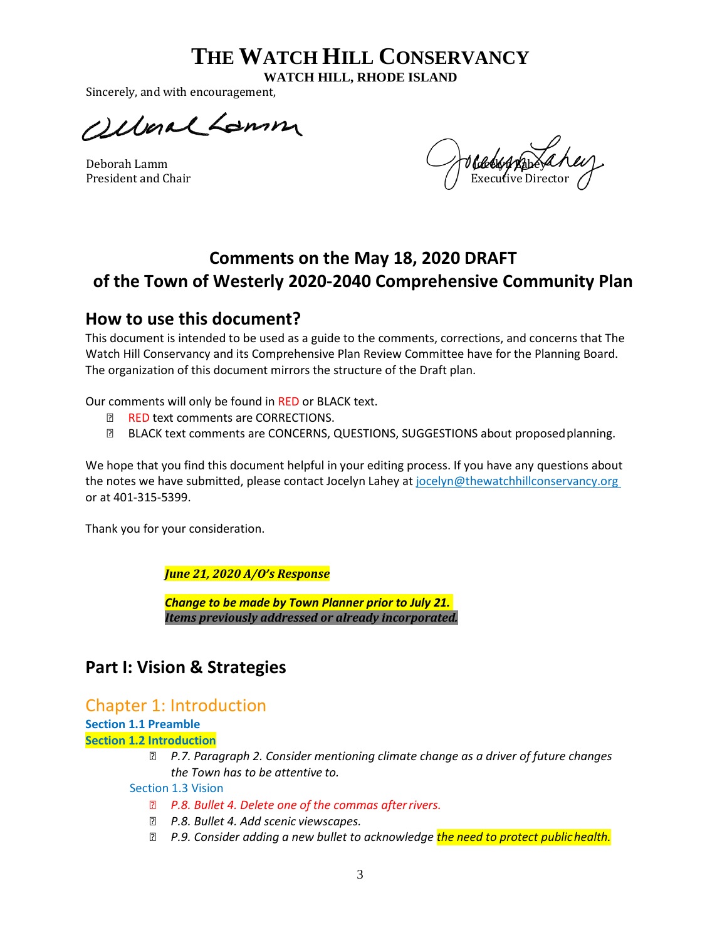**WATCH HILL, RHODE ISLAND**

Sincerely, and with encouragement,

*Ollenal Lamm* 

Deborah Lamm Jocelyn Lamm Jocelyn Lamm Jocelyn Lamm Jocelyn Lamm Jocelyn Lamm Jocelyn Lamm Jocelyn Lamm Jocelyn La President and Chair Executive Director  $\left(\begin{array}{cc} I & E \end{array}\right)$ 

## **Comments on the May 18, 2020 DRAFT of the Town of Westerly 2020-2040 Comprehensive Community Plan**

## **How to use this document?**

This document is intended to be used as a guide to the comments, corrections, and concerns that The Watch Hill Conservancy and its Comprehensive Plan Review Committee have for the Planning Board. The organization of this document mirrors the structure of the Draft plan.

Our comments will only be found in RED or BLACK text.

- RED text comments are CORRECTIONS.
- **BLACK text comments are CONCERNS, QUESTIONS, SUGGESTIONS about proposed planning.**

We hope that you find this document helpful in your editing process. If you have any questions about the notes we have submitted, please contact Jocelyn Lahey at jocelyn@thewatchhillconservancy.org or at 401-315-5399.

Thank you for your consideration.

*June 21, 2020 A/O's Response*

*Change to be made by Town Planner prior to July 21. Items previously addressed or already incorporated.*

## **Part I: Vision & Strategies**

## Chapter 1: Introduction

**Section 1.1 Preamble**

**Section 1.2 Introduction**

 *P.7. Paragraph 2. Consider mentioning climate change as a driver of future changes the Town has to be attentive to.* 

Section 1.3 Vision

- *P.8. Bullet 4. Delete one of the commas afterrivers.*
- *P.8. Bullet 4. Add scenic viewscapes.*
- *P.9. Consider adding a new bullet to acknowledge the need to protect publichealth.*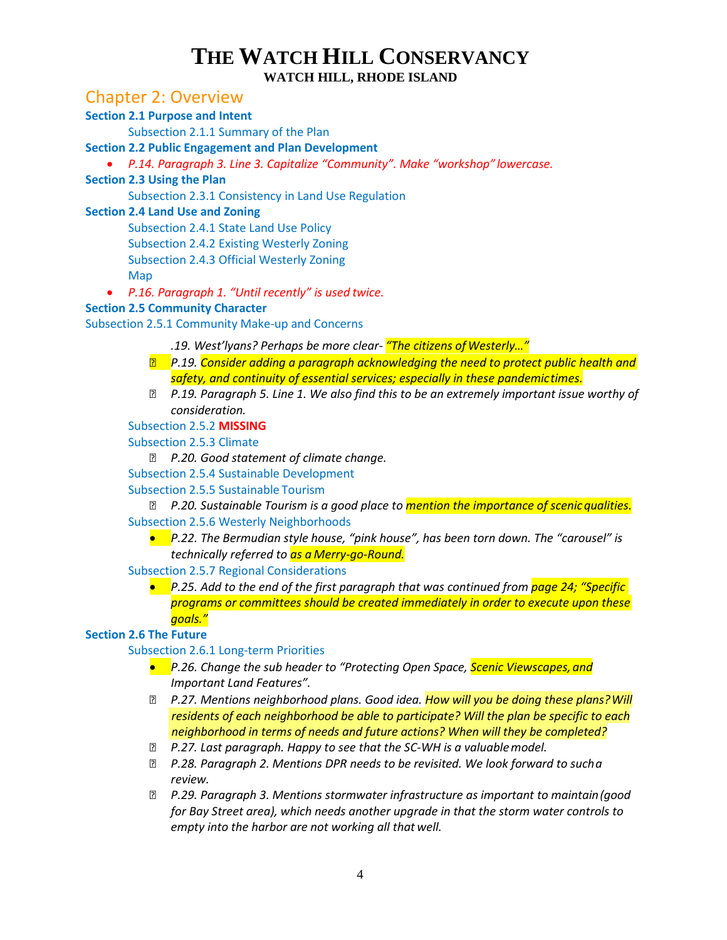### Chapter 2: Overview

#### **Section 2.1 Purpose and Intent**

Subsection 2.1.1 Summary of the Plan

#### **Section 2.2 Public Engagement and Plan Development**

• *P.14. Paragraph 3. Line 3. Capitalize "Community". Make "workshop" lowercase.*

#### **Section 2.3 Using the Plan**

Subsection 2.3.1 Consistency in Land Use Regulation

#### **Section 2.4 Land Use and Zoning**

Subsection 2.4.1 State Land Use Policy Subsection 2.4.2 Existing Westerly Zoning Subsection 2.4.3 Official Westerly Zoning Map

• *P.16. Paragraph 1. "Until recently" is used twice.*

#### **Section 2.5 Community Character**

Subsection 2.5.1 Community Make-up and Concerns

- *.19. West'lyans? Perhaps be more clear- "The citizens of Westerly…"*
- *P.19. Consider adding a paragraph acknowledging the need to protect public health and safety, and continuity of essential services; especially in these pandemictimes.*
- *P.19. Paragraph 5. Line 1. We also find this to be an extremely important issue worthy of consideration.*

#### Subsection 2.5.2 **MISSING**

Subsection 2.5.3 Climate

*P.20. Good statement of climate change.* 

Subsection 2.5.4 Sustainable Development

#### Subsection 2.5.5 Sustainable Tourism

*P.20. Sustainable Tourism is a good place to mention the importance of scenic qualities.* Subsection 2.5.6 Westerly Neighborhoods

• *P.22. The Bermudian style house, "pink house", has been torn down. The "carousel" is technically referred to as a Merry-go-Round.*

#### Subsection 2.5.7 Regional Considerations

• *P.25. Add to the end of the first paragraph that was continued from page 24; "Specific programs or committees should be created immediately in order to execute upon these goals."*

#### **Section 2.6 The Future**

#### Subsection 2.6.1 Long-term Priorities

- *P.26. Change the sub header to "Protecting Open Space, Scenic Viewscapes, and Important Land Features".*
- *P.27. Mentions neighborhood plans. Good idea. How will you be doing these plans? Will residents of each neighborhood be able to participate? Will the plan be specific to each neighborhood in terms of needs and future actions? When will they be completed?*
- *P.27. Last paragraph. Happy to see that the SC-WH is a valuablemodel.*
- *P.28. Paragraph 2. Mentions DPR needs to be revisited. We look forward to sucha review.*
- *P.29. Paragraph 3. Mentions stormwater infrastructure as important to maintain(good for Bay Street area), which needs another upgrade in that the storm water controls to empty into the harbor are not working all that well.*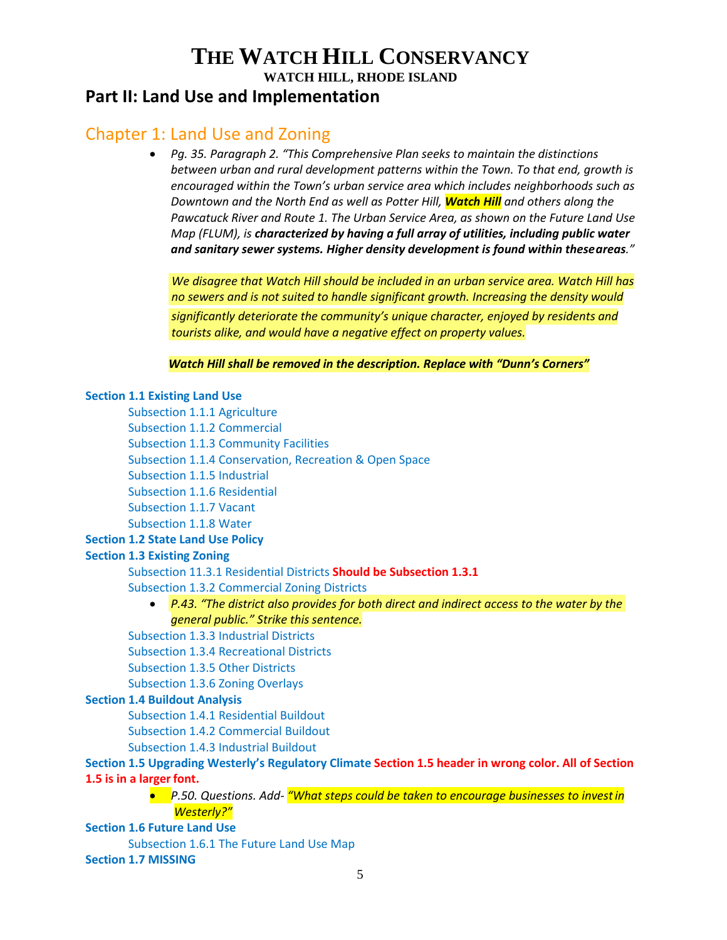## **Part II: Land Use and Implementation**

## Chapter 1: Land Use and Zoning

• *Pg. 35. Paragraph 2. "This Comprehensive Plan seeks to maintain the distinctions between urban and rural development patterns within the Town. To that end, growth is encouraged within the Town's urban service area which includes neighborhoods such as Downtown and the North End as well as Potter Hill, Watch Hill and others along the Pawcatuck River and Route 1. The Urban Service Area, as shown on the Future Land Use Map (FLUM), is characterized by having a full array of utilities, including public water and sanitary sewer systems. Higher density development is found within theseareas."*

*We disagree that Watch Hill should be included in an urban service area. Watch Hill has no sewers and is not suited to handle significant growth. Increasing the density would significantly deteriorate the community's unique character, enjoyed by residents and tourists alike, and would have a negative effect on property values.*

*Watch Hill shall be removed in the description. Replace with "Dunn's Corners"*

#### **Section 1.1 Existing Land Use**

Subsection 1.1.1 Agriculture Subsection 1.1.2 Commercial Subsection 1.1.3 Community Facilities Subsection 1.1.4 Conservation, Recreation & Open Space Subsection 1.1.5 Industrial Subsection 1.1.6 Residential Subsection 1.1.7 Vacant Subsection 1.1.8 Water

## **Section 1.2 State Land Use Policy**

#### **Section 1.3 Existing Zoning**

Subsection 11.3.1 Residential Districts **Should be Subsection 1.3.1**

Subsection 1.3.2 Commercial Zoning Districts

• *P.43. "The district also provides for both direct and indirect access to the water by the general public." Strike this sentence.*

Subsection 1.3.3 Industrial Districts

Subsection 1.3.4 Recreational Districts

Subsection 1.3.5 Other Districts

Subsection 1.3.6 Zoning Overlays

#### **Section 1.4 Buildout Analysis**

Subsection 1.4.1 Residential Buildout

Subsection 1.4.2 Commercial Buildout

Subsection 1.4.3 Industrial Buildout

#### **Section 1.5 Upgrading Westerly's Regulatory Climate Section 1.5 header in wrong color. All of Section 1.5 is in a larger font.**

• *P.50. Questions. Add- "What steps could be taken to encourage businesses to investin Westerly?"*

**Section 1.6 Future Land Use**

Subsection 1.6.1 The Future Land Use Map

#### **Section 1.7 MISSING**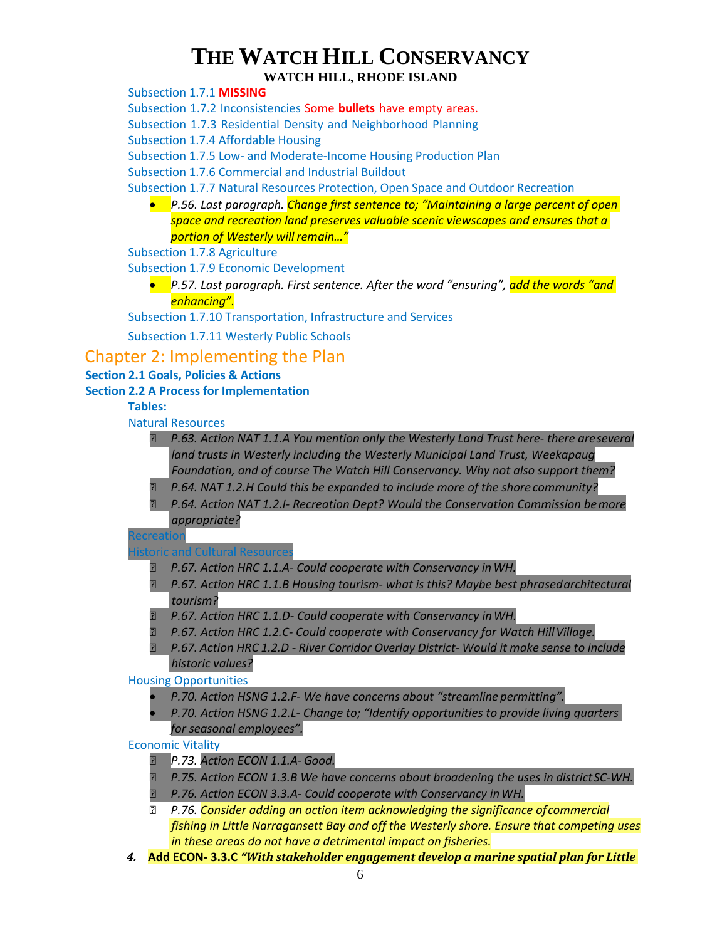#### **WATCH HILL, RHODE ISLAND**

Subsection 1.7.1 **MISSING**

Subsection 1.7.2 Inconsistencies Some **bullets** have empty areas.

Subsection 1.7.3 Residential Density and Neighborhood Planning

Subsection 1.7.4 Affordable Housing

Subsection 1.7.5 Low- and Moderate-Income Housing Production Plan

Subsection 1.7.6 Commercial and Industrial Buildout

Subsection 1.7.7 Natural Resources Protection, Open Space and Outdoor Recreation

• *P.56. Last paragraph. Change first sentence to; "Maintaining a large percent of open space and recreation land preserves valuable scenic viewscapes and ensures that a portion of Westerly will remain…"*

Subsection 1.7.8 Agriculture

Subsection 1.7.9 Economic Development

• *P.57. Last paragraph. First sentence. After the word "ensuring", add the words "and enhancing".*

Subsection 1.7.10 Transportation, Infrastructure and Services

Subsection 1.7.11 Westerly Public Schools

## Chapter 2: Implementing the Plan

#### **Section 2.1 Goals, Policies & Actions**

#### **Section 2.2 A Process for Implementation**

#### **Tables:**

#### Natural Resources

- *P.63. Action NAT 1.1.A You mention only the Westerly Land Trust here- there areseveral land trusts in Westerly including the Westerly Municipal Land Trust, Weekapaug Foundation, and of course The Watch Hill Conservancy. Why not also support them?*
- *P.64. NAT 1.2.H Could this be expanded to include more of the shore community?*
- *P.64. Action NAT 1.2.I- Recreation Dept? Would the Conservation Commission bemore appropriate?*

**ecreation** 

#### storic and Cultural Resources

- *P.67. Action HRC 1.1.A- Could cooperate with Conservancy inWH.*
- *P.67. Action HRC 1.1.B Housing tourism- what is this? Maybe best phrasedarchitectural tourism?*
- *P.67. Action HRC 1.1.D- Could cooperate with Conservancy inWH.*
- *P.67. Action HRC 1.2.C- Could cooperate with Conservancy for Watch HillVillage.*
- *P.67. Action HRC 1.2.D - River Corridor Overlay District- Would it make sense to include historic values?*

#### Housing Opportunities

- *P.70. Action HSNG 1.2.F- We have concerns about "streamline permitting".*
- *P.70. Action HSNG 1.2.L- Change to; "Identify opportunities to provide living quarters for seasonal employees".*

#### Economic Vitality

- *P.73. Action ECON 1.1.A-Good.*
- *P.75. Action ECON 1.3.B We have concerns about broadening the uses in districtSC-WH.*
- *P.76. Action ECON 3.3.A- Could cooperate with Conservancy inWH.*
- *P.76. Consider adding an action item acknowledging the significance ofcommercial fishing in Little Narragansett Bay and off the Westerly shore. Ensure that competing uses in these areas do not have a detrimental impact on fisheries.*
- *4.* **Add ECON- 3.3.C** *"With stakeholder engagement develop a marine spatial plan for Little*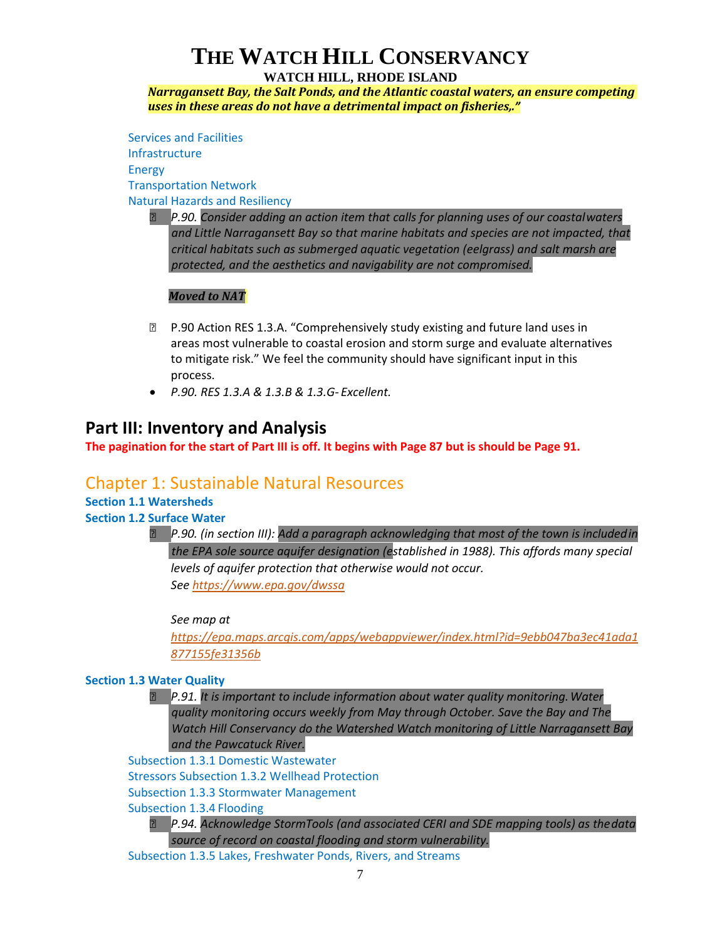#### **WATCH HILL, RHODE ISLAND**

*Narragansett Bay, the Salt Ponds, and the Atlantic coastal waters, an ensure competing uses in these areas do not have a detrimental impact on fisheries,."*

Services and Facilities Infrastructure Energy Transportation Network Natural Hazards and Resiliency

> *P.90. Consider adding an action item that calls for planning uses of our coastalwaters and Little Narragansett Bay so that marine habitats and species are not impacted, that critical habitats such as submerged aquatic vegetation (eelgrass) and salt marsh are protected, and the aesthetics and navigability are not compromised.*

#### *Moved to NAT*

- **P.90 Action RES 1.3.A. "Comprehensively study existing and future land uses in** areas most vulnerable to coastal erosion and storm surge and evaluate alternatives to mitigate risk." We feel the community should have significant input in this process.
- *P.90. RES 1.3.A & 1.3.B & 1.3.G- Excellent.*

### **Part III: Inventory and Analysis**

**The pagination for the start of Part III is off. It begins with Page 87 but is should be Page 91.**

## Chapter 1: Sustainable Natural Resources

## **Section 1.1 Watersheds**

**Section 1.2 Surface Water**

 *P.90. (in section III): Add a paragraph acknowledging that most of the town is includedin the EPA sole source aquifer designation (established in 1988). This affords many special levels of aquifer protection that otherwise would not occur. See<https://www.epa.gov/dwssa>*

*See map at* 

*[https://epa.maps.arcgis.com/apps/webappviewer/index.html?id=9ebb047ba3ec41ada1](https://epa.maps.arcgis.com/apps/webappviewer/index.html?id=9ebb047ba3ec41ada1877155fe31356b) [877155fe31356b](https://epa.maps.arcgis.com/apps/webappviewer/index.html?id=9ebb047ba3ec41ada1877155fe31356b)*

#### **Section 1.3 Water Quality**

 *P.91. It is important to include information about water quality monitoring.Water quality monitoring occurs weekly from May through October. Save the Bay and The Watch Hill Conservancy do the Watershed Watch monitoring of Little Narragansett Bay and the Pawcatuck River.*

Subsection 1.3.1 Domestic Wastewater

Stressors Subsection 1.3.2 Wellhead Protection

Subsection 1.3.3 Stormwater Management

Subsection 1.3.4 Flooding

 *P.94. Acknowledge StormTools (and associated CERI and SDE mapping tools) as thedata source of record on coastal flooding and storm vulnerability.*

Subsection 1.3.5 Lakes, Freshwater Ponds, Rivers, and Streams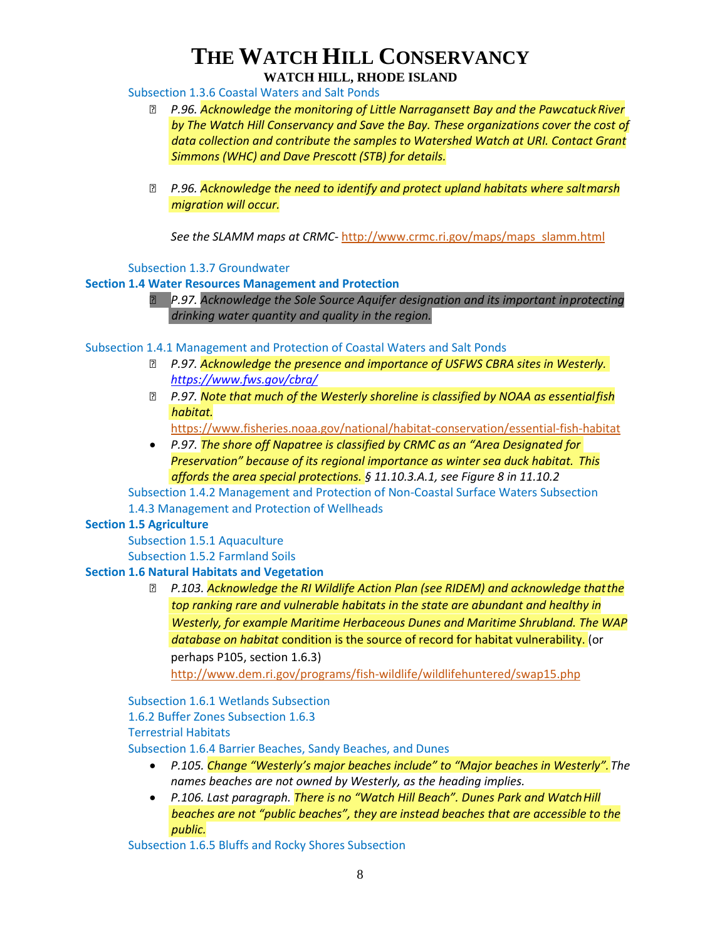#### **WATCH HILL, RHODE ISLAND**

Subsection 1.3.6 Coastal Waters and Salt Ponds

- *P.96. Acknowledge the monitoring of Little Narragansett Bay and the PawcatuckRiver by The Watch Hill Conservancy and Save the Bay. These organizations cover the cost of data collection and contribute the samples to Watershed Watch at URI. Contact Grant Simmons (WHC) and Dave Prescott (STB) for details.*
- *P.96. Acknowledge the need to identify and protect upland habitats where saltmarsh migration will occur.*

*See the SLAMM maps at CRMC-* [http://www.crmc.ri.gov/maps/maps\\_slamm.html](http://www.crmc.ri.gov/maps/maps_slamm.html)

Subsection 1.3.7 Groundwater

#### **Section 1.4 Water Resources Management and Protection**

 *P.97. Acknowledge the Sole Source Aquifer designation and its important inprotecting drinking water quantity and quality in the region.*

Subsection 1.4.1 Management and Protection of Coastal Waters and Salt Ponds

- *P.97. Acknowledge the presence and importance of USFWS CBRA sites in Westerly. <https://www.fws.gov/cbra/>*
- *P.97. Note that much of the Westerly shoreline is classified by NOAA as essentialfish habitat.*

<https://www.fisheries.noaa.gov/national/habitat-conservation/essential-fish-habitat>

• *P.97. The shore off Napatree is classified by CRMC as an "Area Designated for Preservation" because of its regional importance as winter sea duck habitat. This affords the area special protections. § 11.10.3.A.1, see Figure 8 in 11.10.2* 

Subsection 1.4.2 Management and Protection of Non-Coastal Surface Waters Subsection 1.4.3 Management and Protection of Wellheads

#### **Section 1.5 Agriculture**

Subsection 1.5.1 Aquaculture Subsection 1.5.2 Farmland Soils

#### **Section 1.6 Natural Habitats and Vegetation**

 *P.103. Acknowledge the RI Wildlife Action Plan (see RIDEM) and acknowledge thatthe top ranking rare and vulnerable habitats in the state are abundant and healthy in Westerly, for example Maritime Herbaceous Dunes and Maritime Shrubland. The WAP database on habitat* condition is the source of record for habitat vulnerability. (or perhaps P105, section 1.6.3)

<http://www.dem.ri.gov/programs/fish-wildlife/wildlifehuntered/swap15.php>

Subsection 1.6.1 Wetlands Subsection 1.6.2 Buffer Zones Subsection 1.6.3 Terrestrial Habitats

Subsection 1.6.4 Barrier Beaches, Sandy Beaches, and Dunes

- *P.105. Change "Westerly's major beaches include" to "Major beaches in Westerly".The names beaches are not owned by Westerly, as the heading implies.*
- *P.106. Last paragraph. There is no "Watch Hill Beach". Dunes Park and WatchHill beaches are not "public beaches", they are instead beaches that are accessible to the public.*

Subsection 1.6.5 Bluffs and Rocky Shores Subsection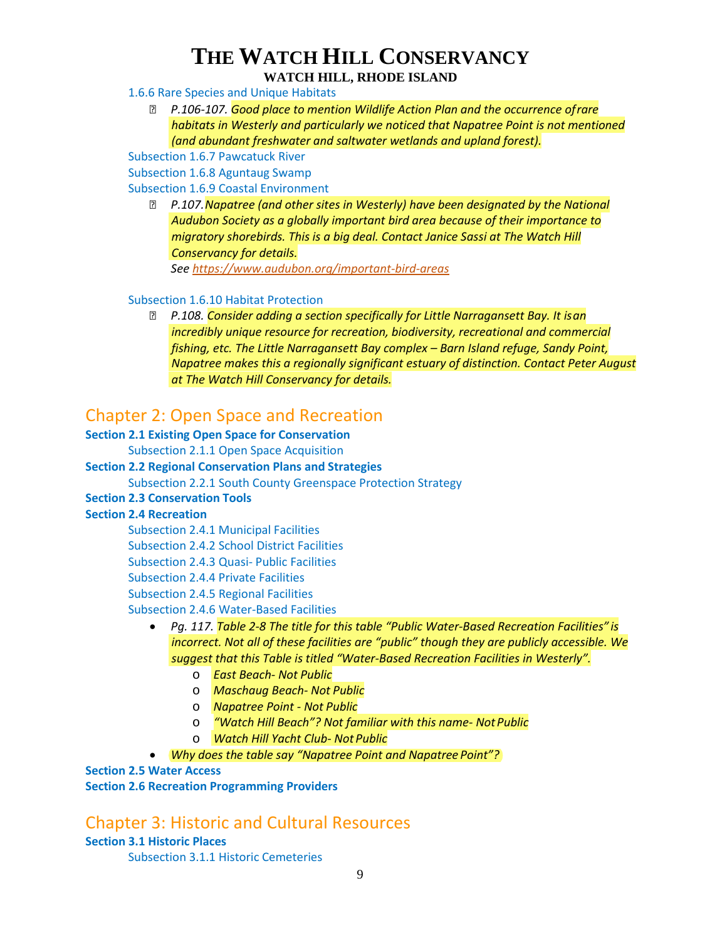#### 1.6.6 Rare Species and Unique Habitats

 *P.106-107. Good place to mention Wildlife Action Plan and the occurrence ofrare habitats in Westerly and particularly we noticed that Napatree Point is not mentioned (and abundant freshwater and saltwater wetlands and upland forest).*

Subsection 1.6.7 Pawcatuck River

Subsection 1.6.8 Aguntaug Swamp

Subsection 1.6.9 Coastal Environment

 *P.107.Napatree (and other sites in Westerly) have been designated by the National Audubon Society as a globally important bird area because of their importance to migratory shorebirds. This is a big deal. Contact Janice Sassi at The Watch Hill Conservancy for details.*

*See<https://www.audubon.org/important-bird-areas>*

#### Subsection 1.6.10 Habitat Protection

 *P.108. Consider adding a section specifically for Little Narragansett Bay. It isan incredibly unique resource for recreation, biodiversity, recreational and commercial fishing, etc. The Little Narragansett Bay complex – Barn Island refuge, Sandy Point, Napatree makes this a regionally significant estuary of distinction. Contact Peter August at The Watch Hill Conservancy for details.*

## Chapter 2: Open Space and Recreation

#### **Section 2.1 Existing Open Space for Conservation**

Subsection 2.1.1 Open Space Acquisition

#### **Section 2.2 Regional Conservation Plans and Strategies**

Subsection 2.2.1 South County Greenspace Protection Strategy

#### **Section 2.3 Conservation Tools**

#### **Section 2.4 Recreation**

Subsection 2.4.1 Municipal Facilities

Subsection 2.4.2 School District Facilities

Subsection 2.4.3 Quasi- Public Facilities

Subsection 2.4.4 Private Facilities

Subsection 2.4.5 Regional Facilities

Subsection 2.4.6 Water-Based Facilities

- *Pg. 117. Table 2-8 The title for this table "Public Water-Based Recreation Facilities" is incorrect. Not all of these facilities are "public" though they are publicly accessible. We suggest that this Table is titled "Water-Based Recreation Facilities in Westerly".*
	- o *East Beach- Not Public*
	- o *Maschaug Beach- Not Public*
	- o *Napatree Point - Not Public*
	- o *"Watch Hill Beach"? Not familiar with this name- NotPublic*
	- o *Watch Hill Yacht Club- Not Public*
- *Why does the table say "Napatree Point and Napatree Point"?*

#### **Section 2.5 Water Access**

**Section 2.6 Recreation Programming Providers**

## Chapter 3: Historic and Cultural Resources

**Section 3.1 Historic Places**

Subsection 3.1.1 Historic Cemeteries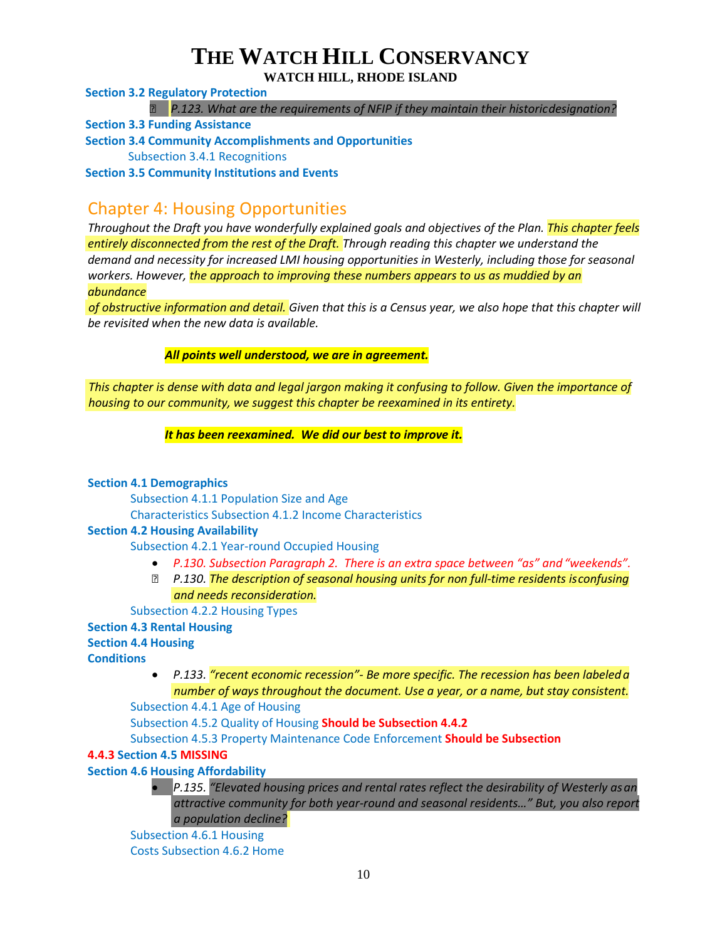**WATCH HILL, RHODE ISLAND**

**Section 3.2 Regulatory Protection**

*P.123. What are the requirements of NFIP if they maintain their historicdesignation?*

**Section 3.3 Funding Assistance**

**Section 3.4 Community Accomplishments and Opportunities**

Subsection 3.4.1 Recognitions

**Section 3.5 Community Institutions and Events**

## Chapter 4: Housing Opportunities

*Throughout the Draft you have wonderfully explained goals and objectives of the Plan. This chapter feels entirely disconnected from the rest of the Draft. Through reading this chapter we understand the demand and necessity for increased LMI housing opportunities in Westerly, including those for seasonal workers. However, the approach to improving these numbers appears to us as muddied by an abundance*

*of obstructive information and detail. Given that this is a Census year, we also hope that this chapter will be revisited when the new data is available.*

*All points well understood, we are in agreement.*

*This chapter is dense with data and legal jargon making it confusing to follow. Given the importance of housing to our community, we suggest this chapter be reexamined in its entirety.*

*It has been reexamined. We did our best to improve it.*

#### **Section 4.1 Demographics**

Subsection 4.1.1 Population Size and Age

Characteristics Subsection 4.1.2 Income Characteristics

#### **Section 4.2 Housing Availability**

Subsection 4.2.1 Year-round Occupied Housing

- *P.130. Subsection Paragraph 2. There is an extra space between "as" and "weekends".*
- *P.130. The description of seasonal housing units for non full-time residents isconfusing and needs reconsideration.*

Subsection 4.2.2 Housing Types

**Section 4.3 Rental Housing** 

**Section 4.4 Housing** 

**Conditions**

• *P.133. "recent economic recession"- Be more specific. The recession has been labeleda number of ways throughout the document. Use a year, or a name, but stay consistent.*

Subsection 4.4.1 Age of Housing

Subsection 4.5.2 Quality of Housing **Should be Subsection 4.4.2**

Subsection 4.5.3 Property Maintenance Code Enforcement **Should be Subsection** 

#### **4.4.3 Section 4.5 MISSING**

**Section 4.6 Housing Affordability**

• *P.135. "Elevated housing prices and rental rates reflect the desirability of Westerly asan attractive community for both year-round and seasonal residents…" But, you also report a population decline?*

Subsection 4.6.1 Housing

Costs Subsection 4.6.2 Home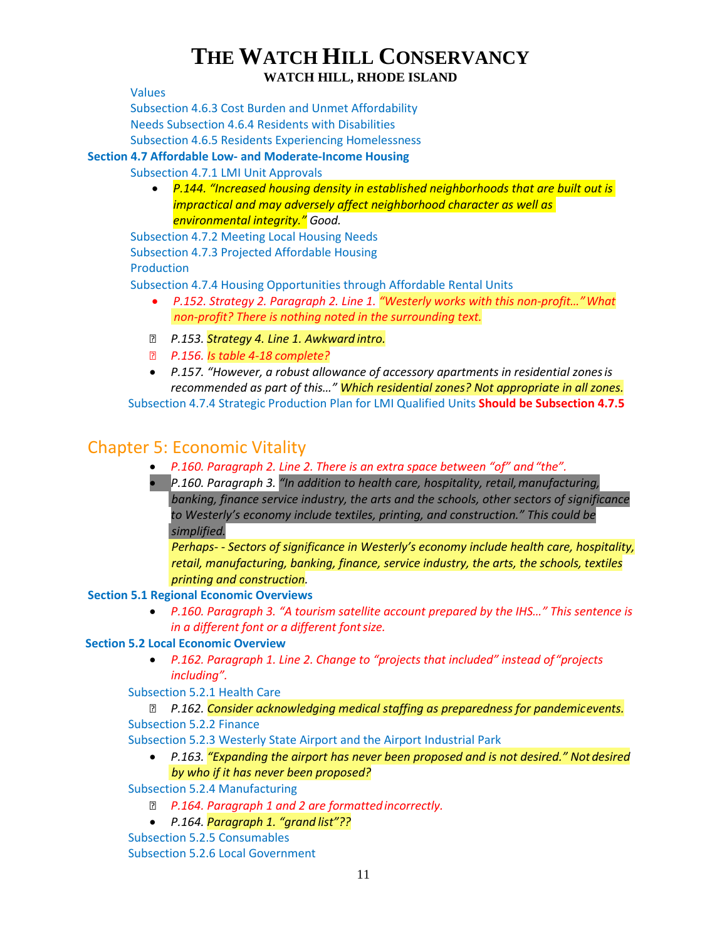Values

Subsection 4.6.3 Cost Burden and Unmet Affordability Needs Subsection 4.6.4 Residents with Disabilities Subsection 4.6.5 Residents Experiencing Homelessness

#### **Section 4.7 Affordable Low- and Moderate-Income Housing**

Subsection 4.7.1 LMI Unit Approvals

• *P.144. "Increased housing density in established neighborhoods that are built out is impractical and may adversely affect neighborhood character as well as environmental integrity." Good.*

Subsection 4.7.2 Meeting Local Housing Needs Subsection 4.7.3 Projected Affordable Housing Production

Subsection 4.7.4 Housing Opportunities through Affordable Rental Units

- *P.152. Strategy 2. Paragraph 2. Line 1. "Westerly works with this non-profit…"What non-profit? There is nothing noted in the surrounding text.*
- *P.153. Strategy 4. Line 1. Awkward intro.*
- *P.156. Is table 4-18 complete?*
- *P.157. "However, a robust allowance of accessory apartments in residential zonesis recommended as part of this…" Which residential zones? Not appropriate in all zones.*

Subsection 4.7.4 Strategic Production Plan for LMI Qualified Units **Should be Subsection 4.7.5**

## Chapter 5: Economic Vitality

- *P.160. Paragraph 2. Line 2. There is an extra space between "of" and"the".*
- *P.160. Paragraph 3. "In addition to health care, hospitality, retail,manufacturing, banking, finance service industry, the arts and the schools, other sectors of significance to Westerly's economy include textiles, printing, and construction." This could be simplified.*

*Perhaps- - Sectors of significance in Westerly's economy include health care, hospitality, retail, manufacturing, banking, finance, service industry, the arts, the schools, textiles printing and construction.*

#### **Section 5.1 Regional Economic Overviews**

• *P.160. Paragraph 3. "A tourism satellite account prepared by the IHS…" This sentence is in a different font or a different fontsize.*

#### **Section 5.2 Local Economic Overview**

• *P.162. Paragraph 1. Line 2. Change to "projects that included" instead of"projects including".*

Subsection 5.2.1 Health Care

#### *P.162. Consider acknowledging medical staffing as preparedness for pandemicevents.* Subsection 5.2.2 Finance

Subsection 5.2.3 Westerly State Airport and the Airport Industrial Park

• *P.163. "Expanding the airport has never been proposed and is not desired." Not desired by who if it has never been proposed?*

Subsection 5.2.4 Manufacturing

- *P.164. Paragraph 1 and 2 are formattedincorrectly.*
- *P.164. Paragraph 1. "grand list"??*
- Subsection 5.2.5 Consumables

Subsection 5.2.6 Local Government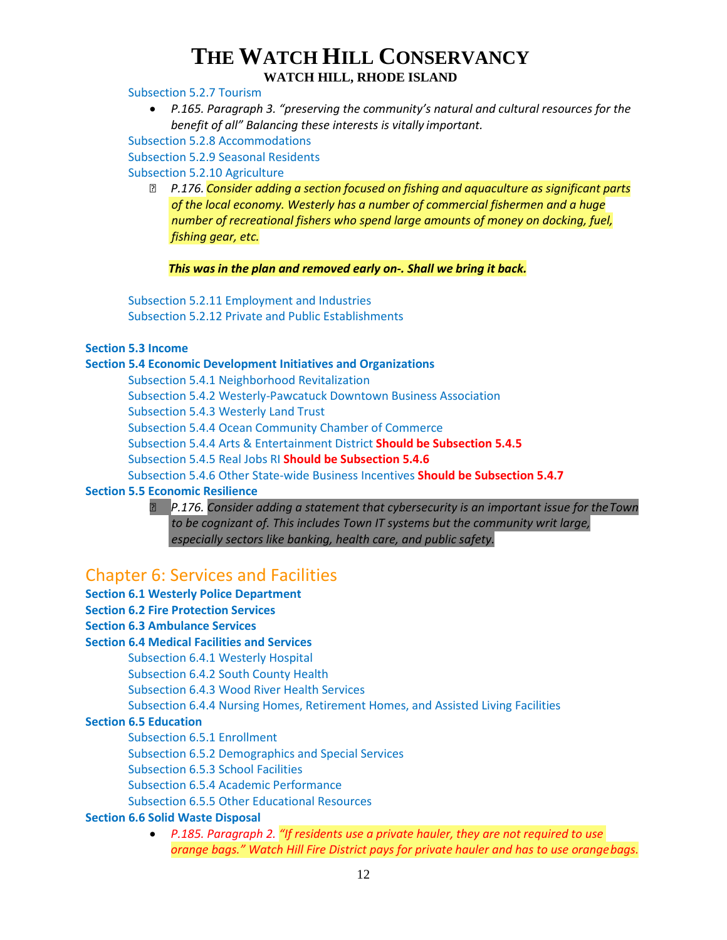#### **WATCH HILL, RHODE ISLAND**

Subsection 5.2.7 Tourism

• *P.165. Paragraph 3. "preserving the community's natural and cultural resources for the benefit of all" Balancing these interests is vitally important.*

Subsection 5.2.8 Accommodations

Subsection 5.2.9 Seasonal Residents

Subsection 5.2.10 Agriculture

 *P.176. Consider adding a section focused on fishing and aquaculture as significant parts of the local economy. Westerly has a number of commercial fishermen and a huge number of recreational fishers who spend large amounts of money on docking, fuel, fishing gear, etc.*

*This was in the plan and removed early on-. Shall we bring it back.*

Subsection 5.2.11 Employment and Industries Subsection 5.2.12 Private and Public Establishments

#### **Section 5.3 Income**

#### **Section 5.4 Economic Development Initiatives and Organizations**

Subsection 5.4.1 Neighborhood Revitalization Subsection 5.4.2 Westerly-Pawcatuck Downtown Business Association Subsection 5.4.3 Westerly Land Trust Subsection 5.4.4 Ocean Community Chamber of Commerce Subsection 5.4.4 Arts & Entertainment District **Should be Subsection 5.4.5** Subsection 5.4.5 Real Jobs RI **Should be Subsection 5.4.6** Subsection 5.4.6 Other State-wide Business Incentives **Should be Subsection 5.4.7 Section 5.5 Economic Resilience**

 *P.176. Consider adding a statement that cybersecurity is an important issue for theTown to be cognizant of. This includes Town IT systems but the community writ large, especially sectors like banking, health care, and public safety.*

## Chapter 6: Services and Facilities

- **Section 6.1 Westerly Police Department**
- **Section 6.2 Fire Protection Services**
- **Section 6.3 Ambulance Services**

#### **Section 6.4 Medical Facilities and Services**

Subsection 6.4.1 Westerly Hospital

Subsection 6.4.2 South County Health

Subsection 6.4.3 Wood River Health Services

Subsection 6.4.4 Nursing Homes, Retirement Homes, and Assisted Living Facilities

#### **Section 6.5 Education**

Subsection 6.5.1 Enrollment

Subsection 6.5.2 Demographics and Special Services

Subsection 6.5.3 School Facilities

Subsection 6.5.4 Academic Performance

Subsection 6.5.5 Other Educational Resources

#### **Section 6.6 Solid Waste Disposal**

• *P.185. Paragraph 2. "If residents use a private hauler, they are not required to use orange bags." Watch Hill Fire District pays for private hauler and has to use orangebags.*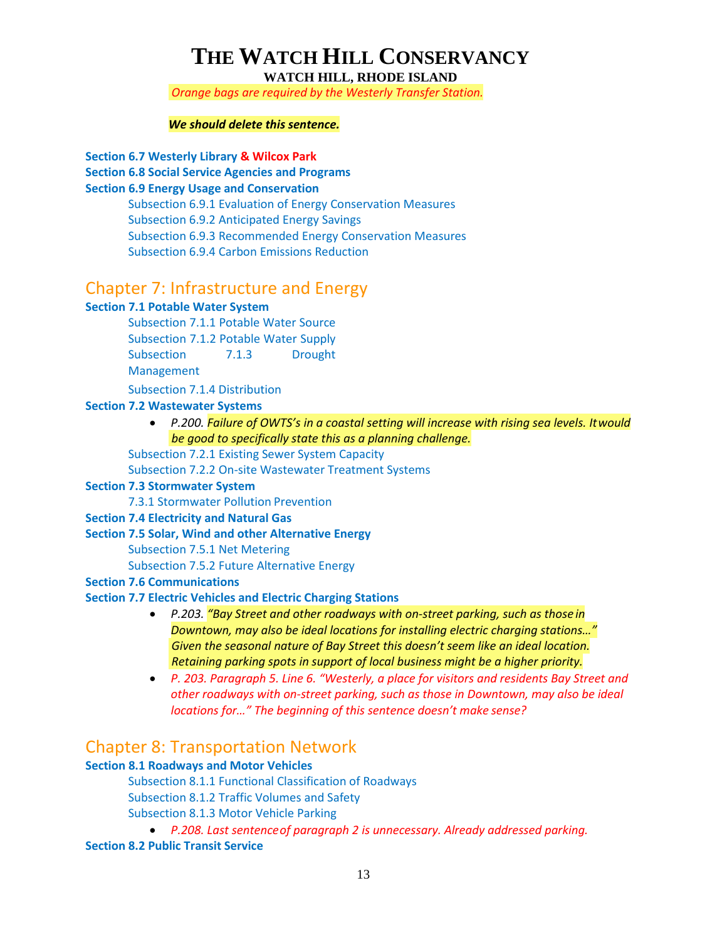**WATCH HILL, RHODE ISLAND**

*Orange bags are required by the Westerly Transfer Station.*

#### *We should delete this sentence.*

**Section 6.7 Westerly Library & Wilcox Park** 

**Section 6.8 Social Service Agencies and Programs** 

#### **Section 6.9 Energy Usage and Conservation**

Subsection 6.9.1 Evaluation of Energy Conservation Measures Subsection 6.9.2 Anticipated Energy Savings Subsection 6.9.3 Recommended Energy Conservation Measures Subsection 6.9.4 Carbon Emissions Reduction

## Chapter 7: Infrastructure and Energy

#### **Section 7.1 Potable Water System**

Subsection 7.1.1 Potable Water Source Subsection 7.1.2 Potable Water Supply Subsection 7.1.3 Drought Management

Subsection 7.1.4 Distribution

#### **Section 7.2 Wastewater Systems**

• *P.200. Failure of OWTS's in a coastal setting will increase with rising sea levels. Itwould be good to specifically state this as a planning challenge.*

Subsection 7.2.1 Existing Sewer System Capacity

Subsection 7.2.2 On-site Wastewater Treatment Systems

#### **Section 7.3 Stormwater System**

7.3.1 Stormwater Pollution Prevention

#### **Section 7.4 Electricity and Natural Gas**

#### **Section 7.5 Solar, Wind and other Alternative Energy**

Subsection 7.5.1 Net Metering

Subsection 7.5.2 Future Alternative Energy

#### **Section 7.6 Communications**

#### **Section 7.7 Electric Vehicles and Electric Charging Stations**

- *P.203. "Bay Street and other roadways with on-street parking, such as those in Downtown, may also be ideal locations for installing electric charging stations…" Given the seasonal nature of Bay Street this doesn't seem like an ideal location. Retaining parking spots in support of local business might be a higher priority.*
- *P. 203. Paragraph 5. Line 6. "Westerly, a place for visitors and residents Bay Street and other roadways with on-street parking, such as those in Downtown, may also be ideal locations for…" The beginning of this sentence doesn't make sense?*

### Chapter 8: Transportation Network

#### **Section 8.1 Roadways and Motor Vehicles**

Subsection 8.1.1 Functional Classification of Roadways Subsection 8.1.2 Traffic Volumes and Safety Subsection 8.1.3 Motor Vehicle Parking

• *P.208. Last sentenceof paragraph 2 is unnecessary. Already addressed parking.*

**Section 8.2 Public Transit Service**